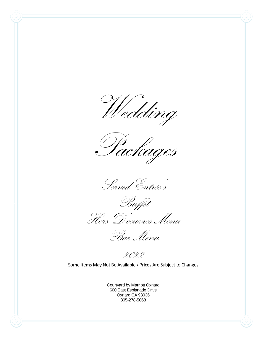Wedding

Packages

Served Entrée's



Bar Menu

2022

Some Items May Not Be Available / Prices Are Subject to Changes

Courtyard by Marriott Oxnard 600 East Esplanade Drive Oxnard CA 93036 805-278-5068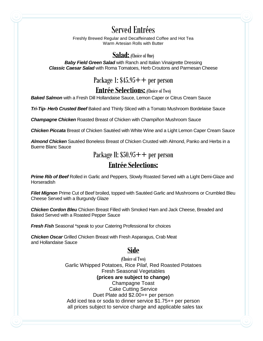# Served Entrées

Freshly Brewed Regular and Decaffeinated Coffee and Hot Tea Warm Artesian Rolls with Butter

#### **Salad:** (Choice of One)

**Baby Field Green Salad** with Ranch and Italian Vinaigrette Dressing *Classic Caesar Salad* with Roma Tomatoes, Herb Croutons and Parmesan Cheese

# Package 1:  $$45.95++$  per person

#### **Entrée Selections:** (Choice of Two)

*Baked Salmon* with a Fresh Dill Hollandaise Sauce, Lemon Caper or Citrus Cream Sauce

*Tri-Tip- Herb Crusted Beef* Baked and Thinly Sliced with a Tomato Mushroom Bordelaise Sauce

*Champagne Chicken* Roasted Breast of Chicken with Champiñon Mushroom Sauce

*Chicken Piccata* Breast of Chicken Sautéed with White Wine and a Light Lemon Caper Cream Sauce

*Almond Chicken* Sautéed Boneless Breast of Chicken Crusted with Almond, Panko and Herbs in a Buerre Blanc Sauce

Package II:  $$50.95++$  per person

# **Entrée Selections:**

*Prime Rib of Beef* Rolled in Garlic and Peppers, Slowly Roasted Served with a Light Demi-Glaze and **Horseradish** 

*Filet Mignon* Prime Cut of Beef broiled, topped with Sautéed Garlic and Mushrooms or Crumbled Bleu Cheese Served with a Burgundy Glaze

*Chicken Cordon Bleu* Chicken Breast Filled with Smoked Ham and Jack Cheese, Breaded and Baked Served with a Roasted Pepper Sauce

*Fresh Fish* Seasonal \*speak to your Catering Professional for choices

*Chicken Oscar* Grilled Chicken Breast with Fresh Asparagus, Crab Meat and Hollandaise Sauce

# **Side**

(Choice of Two) Garlic Whipped Potatoes, Rice Pilaf, Red Roasted Potatoes Fresh Seasonal Vegetables **(prices are subject to change)** Champagne Toast Cake Cutting Service Duet Plate add \$2.00++ per person Add iced tea or soda to dinner service \$1.75++ per person all prices subject to service charge and applicable sales tax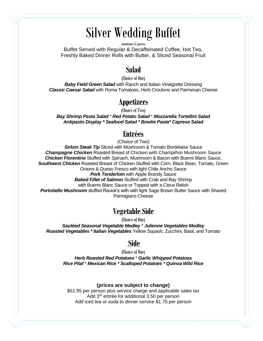# Silver Wedding Buffet

(minimum 35 guests)

Buffet Served with Regular & Decaffeinated Coffee, Hot Tea, Freshly Baked Dinner Rolls with Butter, & Sliced Seasonal Fruit

#### **Salad**

(Choice of One) **Baby Field Green Salad** with Ranch and Italian Vinaigrette Dressing *Classic Caesar Salad* with Roma Tomatoes, Herb Croutons and Parmesan Cheese

#### **Appetizers**

(Choice of Two)

*Bay Shrimp Pasta Salad* \* *Red Potato Salad* \* *Mozzarella Tortellini Salad Antipasto Display \* Seafood Salad \* Bowtie Pasta\* Caprese Salad*

#### **Entrées**

(Choice of Two)

**Sirloin Steak Tip** Sliced with Mushroom & Tomato Bordelaise Sauce *Champagne Chicken* Roasted Breast of Chicken with Champiñon Mushroom Sauce *Chicken Florentine* Stuffed with Spinach, Mushroom & Bacon with Buerre Blanc Sauce, *Southwest Chicken* Roasted Breast of Chicken Stuffed with Corn, Black Bean, Tomato, Green Onions & Queso Fresco with light Chile Ancho Sauce

*Pork Tenderloin* with Apple Brandy Sauce

*Baked Fillet of Salmon* Stuffed with Crab and Bay Shrimp

with Buerre Blanc Sauce or Topped with a Citrus Relish

**Portobello Mushroom** stuffed Ravioli's with with light Sage Brown Butter Sauce with Shaved Parmigiano Cheese

# **Vegetable Side**

(Choice of One)

*Sautéed Seasonal Vegetable Medley* \* *Julienne Vegetables Medley Roasted Vegetables \* Italian Vegetables* Yellow Squash, Zucchini, Basil, and Tomato

#### **Side**

(Choice of One) *Herb Roasted Red Potatoes* \* *Garlic Whipped Potatoes Rice Pilaf* \* *Mexican Rice \* Scalloped Potatoes \* Quinoa Wild Rice*

#### **(prices are subject to change)**

\$51.95 per person plus service charge and applicable sales tax Add 3rd entrée for additional 3.50 per person Add iced tea or soda to dinner service \$1.75 per person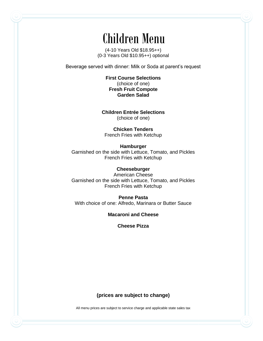# Children Menu

(4-10 Years Old \$18.95++) (0-3 Years Old \$10.95++) optional

Beverage served with dinner: Milk or Soda at parent's request

**First Course Selections** (choice of one) **Fresh Fruit Compote Garden Salad**

**Children Entrée Selections** (choice of one)

**Chicken Tenders** French Fries with Ketchup

**Hamburger** Garnished on the side with Lettuce, Tomato, and Pickles French Fries with Ketchup

**Cheeseburger** American Cheese Garnished on the side with Lettuce, Tomato, and Pickles French Fries with Ketchup

**Penne Pasta** With choice of one: Alfredo, Marinara or Butter Sauce

**Macaroni and Cheese**

**Cheese Pizza**

**(prices are subject to change)**

All menu prices are subject to service charge and applicable state sales tax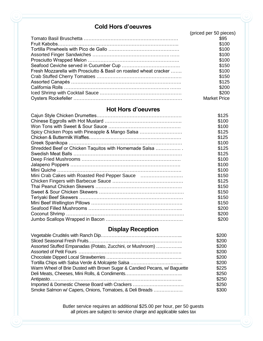#### **Cold Hors d'oeuvres**

|                                                                   | (priced per 50 pieces) |
|-------------------------------------------------------------------|------------------------|
|                                                                   | \$95                   |
|                                                                   | \$100                  |
|                                                                   | \$100                  |
|                                                                   | \$100                  |
|                                                                   | \$100                  |
|                                                                   | \$150                  |
| Fresh Mozzarella with Prosciutto & Basil on roasted wheat cracker | \$100                  |
|                                                                   | \$150                  |
|                                                                   | \$125                  |
|                                                                   | \$200                  |
|                                                                   | \$200                  |
|                                                                   | <b>Market Price</b>    |

#### **Hot Hors d'oeuvres**

|                                                       | \$125 |
|-------------------------------------------------------|-------|
|                                                       | \$100 |
|                                                       | \$100 |
| Spicy Chicken Pops with Pineapple & Mango Salsa       | \$125 |
|                                                       | \$125 |
|                                                       | \$100 |
| Shredded Beef or Chicken Taquitos with Homemade Salsa | \$125 |
|                                                       | \$125 |
|                                                       | \$100 |
|                                                       | \$100 |
|                                                       | \$100 |
| Mini Crab Cakes with Roasted Red Pepper Sauce         | \$150 |
|                                                       | \$125 |
|                                                       | \$150 |
|                                                       | \$150 |
|                                                       | \$150 |
|                                                       | \$150 |
|                                                       | \$200 |
|                                                       | \$200 |
|                                                       | \$200 |

# **Display Reception**

| \$200 |
|-------|
| \$200 |
| \$200 |
| \$200 |
| \$200 |
| \$200 |
| \$225 |
| \$250 |
| \$250 |
| \$250 |
| \$300 |
|       |

Butler service requires an additional \$25.00 per hour, per 50 guests all prices are subject to service charge and applicable sales tax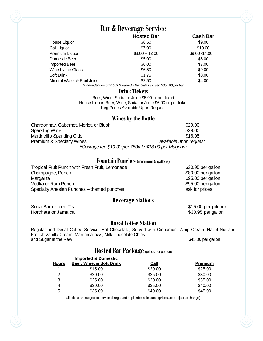# **Bar & Beverage Service**

|                             | <b>Hosted Bar</b> | <b>Cash Bar</b> |
|-----------------------------|-------------------|-----------------|
| House Liquor                | \$6.50            | \$9.00          |
| Call Liquor                 | \$7.00            | \$10.00         |
| Premium Liquor              | $$8.00 - 12.00$   | \$9.00 - 14.00  |
| Domestic Beer               | \$5.00            | \$6.00          |
| <b>Imported Beer</b>        | \$6.00            | \$7.00          |
| Wine by the Glass           | \$6.50            | \$9.00          |
| Soft Drink                  | \$1.75            | \$3.00          |
| Mineral Water & Fruit Juice | \$2.50            | \$4.00          |
|                             |                   |                 |

*\*Bartender Fee of \$150.00 waived if Bar Sales exceed \$350.00 per bar*

#### **Drink Tickets**

Beer, Wine, Soda, or Juice \$5.00++ per ticket House Liquor, Beer, Wine, Soda, or Juice \$6.00++ per ticket Keg Prices Available Upon Request

#### **Wines by the Bottle**

| Chardonnay, Cabernet, Merlot, or Blush              | \$29.00                |  |
|-----------------------------------------------------|------------------------|--|
| Sparkling Wine                                      | \$29.00                |  |
| Martinelli's Sparkling Cider                        | \$16.95                |  |
| <b>Premium &amp; Specialty Wines</b>                | available upon request |  |
| *Corkage fee \$10.00 per 750ml / \$18.00 per Magnum |                        |  |

#### **Fountain Punches** (minimum 5 gallons)

| Tropical Fruit Punch with Fresh Fruit, Lemonade | \$30.95 per gallon |
|-------------------------------------------------|--------------------|
| Champagne, Punch                                | \$80.00 per gallon |
| Margarita                                       | \$95.00 per gallon |
| Vodka or Rum Punch                              | \$95.00 per gallon |
| Specialty Artesian Punches – themed punches     | ask for prices     |

#### **Beverage Stations**

Soda Bar or Iced Tea \$15.00 per pitcher \$15.00 per pitcher Horchata or Jamaica,  $$30.95$  per gallon

#### **Royal Coffee Station**

Regular and Decaf Coffee Service, Hot Chocolate, Served with Cinnamon, Whip Cream, Hazel Nut and French Vanilla Cream, Marshmallows, Milk Chocolate Chips and Sugar in the Raw  $\frac{1}{2}$  and Sugar in the Raw

#### **Hosted Bar Package** (prices per person)

|              | <b>Imported &amp; Domestic</b> |             |                |
|--------------|--------------------------------|-------------|----------------|
| <b>Hours</b> | Beer, Wine, & Soft Drink       | <b>Call</b> | <b>Premium</b> |
| 1            | \$15.00                        | \$20.00     | \$25.00        |
| 2            | \$20.00                        | \$25.00     | \$30.00        |
| 3            | \$25.00                        | \$30.00     | \$35.00        |
| 4            | \$30.00                        | \$35.00     | \$40.00        |
| 5            | \$35.00                        | \$40.00     | \$45.00        |

all prices are subject to service charge and applicable sales tax | (prices are subject to change)